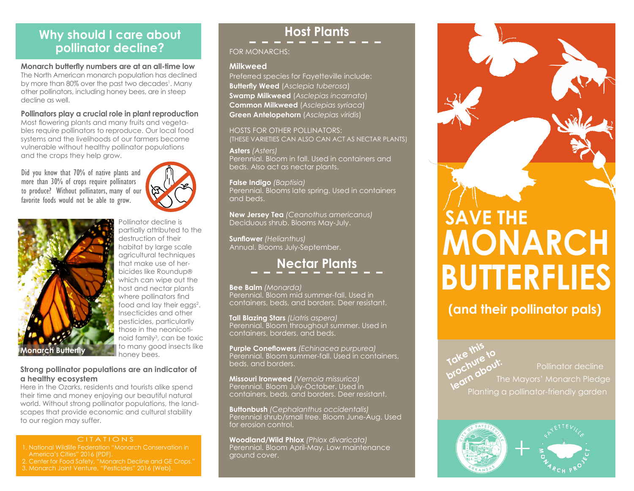## **Why should I care about pollinator decline?**

#### **Monarch butterfly numbers are at an all-time low**

The North American monarch population has declined by more than 80% over the past two decades<sup>1</sup>. Many other pollinators, including honey bees, are in steep decline as well.

#### **Pollinators play a crucial role in plant reproduction**

Most flowering plants and many fruits and vegetables require pollinators to reproduce. Our local food systems and the livelihoods of our farmers become vulnerable without healthy pollinator populations and the crops they help grow.

Did you know that 70% of native plants and more than 30% of crops require pollinators to produce? Without pollinators, many of our favorite foods would not be able to grow.





Pollinator decline is partially attributed to the destruction of their habitat by large scale agricultural techniques that make use of herbicides like Roundup® which can wipe out the host and nectar plants where pollinators find food and lay their eggs<sup>2</sup>. Insecticides and other pesticides, particularlly those in the neonicotinoid family<sup>3</sup>, can be toxic to many good insects like honey bees.

#### **Strong pollinator populations are an indicator of a healthy ecosystem**

Here in the Ozarks, residents and tourists alike spend their time and money enjoying our beautiful natural world. Without strong pollinator populations, the landscapes that provide economic and cultural stability to our region may suffer.

#### CITATIONS

- 1. National Wildlife Federation "Monarch Conservation in
- 
- 

#### 3. Monarch Joint Venture, "Pesticides" 2016 (Web).

## **Host Plants**

#### FOR MONARCHS:

#### **Milkweed**

Preferred species for Fayetteville include: **Butterfly Weed** (*Asclepia tuberosa*) **Swamp Milkweed** (*Asclepias incarnata*) **Common Milkweed** (*Asclepias syriaca*) **Green Antelopehorn** (*Asclepias viridis*)

HOSTS FOR OTHER POLLINATORS: (THESE VARIETIES CAN ALSO CAN ACT AS NECTAR PLANTS)

#### **Asters** *(Asters)*

Perennial. Bloom in fall. Used in containers and beds. Also act as nectar plants.

**False Indigo** *(Baptisia)*

Perennial. Blooms late spring. Used in containers and beds.

**New Jersey Tea** *(Ceanothus americanus)* Deciduous shrub. Blooms May-July.

**Sunflower** *(Helianthus)* Annual. Blooms July-September.

# **Nectar Plants**

#### **Bee Balm** *(Monarda)*

Perennial. Bloom mid summer-fall. Used in containers, beds, and borders. Deer resistant.

**Tall Blazing Stars** *(Liatris aspera)* Perennial. Bloom throughout summer. Used in containers, borders, and beds.

**Purple Coneflowers** *(Echinacea purpurea)* Perennial. Bloom summer-fall. Used in containers, beds, and borders.

**Missouri Ironweed** *(Vernoia missurica)* Perennial. Bloom July-October. Used in containers, beds, and borders. Deer resistant.

**Buttonbush** *(Cephalanthus occidentalis)* Perennial shrub/small tree. Bloom June-Aug. Used for erosion control.

**Woodland/Wild Phlox** *(Phlox divaricata)* Perennial. Bloom April-May. Low maintenance ground cover.

# **MONARCH BUTTERFLIES SAVE THE**

**(and their pollinator pals)**

**Take this** 

Take *II*<br>Take hure to<br>prochure to l<sup>o.c</sup>hute<sub>out:</sub><br>are doout:<br>learn about: The Mayors' Monarch Pledge Planting a pollinator-friendly garden